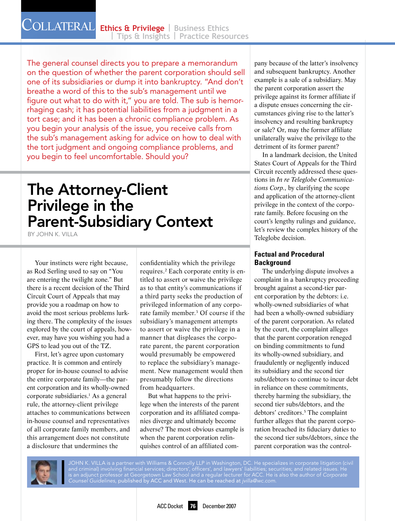The general counsel directs you to prepare a memorandum on the question of whether the parent corporation should sell one of its subsidiaries or dump it into bankruptcy. "And don't breathe a word of this to the sub's management until we figure out what to do with it," you are told. The sub is hemorrhaging cash; it has potential liabilities from a judgment in a tort case; and it has been a chronic compliance problem. As you begin your analysis of the issue, you receive calls from the sub's management asking for advice on how to deal with the tort judgment and ongoing compliance problems, and you begin to feel uncomfortable. Should you?

## The Attorney-Client Privilege in the Parent-Subsidiary Context

By John K. Villa

Your instincts were right because, as Rod Serling used to say on "You are entering the twilight zone." But there is a recent decision of the Third Circuit Court of Appeals that may provide you a roadmap on how to avoid the most serious problems lurking there. The complexity of the issues explored by the court of appeals, however, may have you wishing you had a GPS to lead you out of the TZ.

First, let's agree upon customary practice. It is common and entirely proper for in-house counsel to advise the entire corporate family—the parent corporation and its wholly-owned corporate subsidiaries.1 As a general rule, the attorney-client privilege attaches to communications between in-house counsel and representatives of all corporate family members, and this arrangement does not constitute a disclosure that undermines the

confidentiality which the privilege requires.2 Each corporate entity is entitled to assert or waive the privilege as to that entity's communications if a third party seeks the production of privileged information of any corporate family member.<sup>3</sup> Of course if the subsidiary's management attempts to assert or waive the privilege in a manner that displeases the corporate parent, the parent corporation would presumably be empowered to replace the subsidiary's management. New management would then presumably follow the directions from headquarters.

But what happens to the privilege when the interests of the parent corporation and its affiliated companies diverge and ultimately become adverse? The most obvious example is when the parent corporation relinquishes control of an affiliated company because of the latter's insolvency and subsequent bankruptcy. Another example is a sale of a subsidiary. May the parent corporation assert the privilege against its former affiliate if a dispute ensues concerning the circumstances giving rise to the latter's insolvency and resulting bankruptcy or sale? Or, may the former affiliate unilaterally waive the privilege to the detriment of its former parent?

In a landmark decision, the United States Court of Appeals for the Third Circuit recently addressed these questions in *In re Teleglobe Communications Corp.*, by clarifying the scope and application of the attorney-client privilege in the context of the corporate family. Before focusing on the court's lengthy rulings and guidance, let's review the complex history of the Teleglobe decision.

#### **Factual and Procedural Background**

The underlying dispute involves a complaint in a bankruptcy proceeding brought against a second-tier parent corporation by the debtors: i.e. wholly-owned subsidiaries of what had been a wholly-owned subsidiary of the parent corporation. As related by the court, the complaint alleges that the parent corporation reneged on binding commitments to fund its wholly-owned subsidiary, and fraudulently or negligently induced its subsidiary and the second tier subs/debtors to continue to incur debt in reliance on these commitments, thereby harming the subsidiary, the second tier subs/debtors, and the debtors' creditors.5 The complaint further alleges that the parent corporation breached its fiduciary duties to the second tier subs/debtors, since the parent corporation was the control-



John K. Villa is a partner with Williams & Connolly LLP in Washington, DC. He specializes in corporate litigation (civil and criminal) involving financial services; directors', officers', and lawyers' liabilities; securities; and related issues. He is an adjunct professor at Georgetown Law School and a regular lecturer for ACC. He is also the author of *Corporate Counsel Guidelines,* published by ACC and West. He can be reached at *jvilla@wc.com.*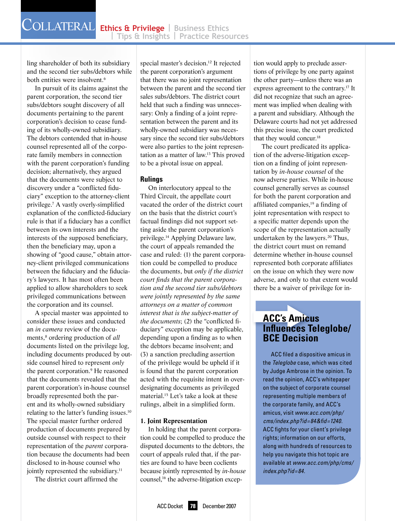ling shareholder of both its subsidiary and the second tier subs/debtors while both entities were insolvent.<sup>6</sup>

In pursuit of its claims against the parent corporation, the second tier subs/debtors sought discovery of all documents pertaining to the parent corporation's decision to cease funding of its wholly-owned subsidiary. The debtors contended that in-house counsel represented all of the corporate family members in connection with the parent corporation's funding decision; alternatively, they argued that the documents were subject to discovery under a "conflicted fiduciary" exception to the attorney-client privilege.7 A vastly overly-simplified explanation of the conflicted-fiduciary rule is that if a fiduciary has a conflict between its own interests and the interests of the supposed beneficiary, then the beneficiary may, upon a showing of "good cause," obtain attorney-client privileged communications between the fiduciary and the fiduciary's lawyers. It has most often been applied to allow shareholders to seek privileged communications between the corporation and its counsel.

A special master was appointed to consider these issues and conducted an *in camera* review of the documents,<sup>8</sup> ordering production of *all* documents listed on the privilege log, including documents produced by outside counsel hired to represent *only* the parent corporation.9 He reasoned that the documents revealed that the parent corporation's in-house counsel broadly represented both the parent and its wholly-owned subsidiary relating to the latter's funding issues.10 The special master further ordered production of documents prepared by outside counsel with respect to their representation of the *parent* corporation because the documents had been disclosed to in-house counsel who jointly represented the subsidiary.<sup>11</sup>

The district court affirmed the

special master's decision.<sup>12</sup> It rejected the parent corporation's argument that there was no joint representation between the parent and the second tier sales subs/debtors. The district court held that such a finding was unnecessary: Only a finding of a joint representation between the parent and its wholly-owned subsidiary was necessary since the second tier subs/debtors were also parties to the joint representation as a matter of law.13 This proved to be a pivotal issue on appeal.

#### **Rulings**

On interlocutory appeal to the Third Circuit, the appellate court vacated the order of the district court on the basis that the district court's factual findings did not support setting aside the parent corporation's privilege.14 Applying Delaware law, the court of appeals remanded the case and ruled: (1) the parent corporation could be compelled to produce the documents, but *only if the district court finds that the parent corporation and the second tier subs/debtors were jointly represented by the same attorneys on a matter of common interest that is the subject-matter of the documents*; (2) the "conflicted fiduciary" exception may be applicable, depending upon a finding as to when the debtors became insolvent; and (3) a sanction precluding assertion of the privilege would be upheld if it is found that the parent corporation acted with the requisite intent in overdesignating documents as privileged material.15 Let's take a look at these rulings, albeit in a simplified form.

#### **1. Joint Representation**

In holding that the parent corporation could be compelled to produce the disputed documents to the debtors, the court of appeals ruled that, if the parties are found to have been coclients because jointly represented by *in-house* counsel,<sup>16</sup> the adverse-litigation exception would apply to preclude assertions of privilege by one party against the other party—unless there was an express agreement to the contrary.17 It did not recognize that such an agreement was implied when dealing with a parent and subsidiary. Although the Delaware courts had not yet addressed this precise issue, the court predicted that they would concur.<sup>18</sup>

The court predicated its application of the adverse-litigation exception on a finding of joint representation by *in-house counsel* of the now adverse parties. While in-house counsel generally serves as counsel for both the parent corporation and affiliated companies,19 a finding of joint representation with respect to a specific matter depends upon the scope of the representation actually undertaken by the lawyers.<sup>20</sup> Thus, the district court must on remand determine whether in-house counsel represented both corporate affiliates on the issue on which they were now adverse, and only to that extent would there be a waiver of privilege for in-

# there be a waiver of privit<br> **ACC's Amicus<br>
Influences Tele<br>
BCE Decision**<br>
ACC filed a dispositive **Influences Teleglobe/ BCE Decision**

ACC filed a dispositive amicus in the *Teleglobe* case, which was cited by Judge Ambrose in the opinion. To read the opinion, ACC's whitepaper on the subject of corporate counsel representing multiple members of the corporate family, and ACC's amicus, visit *www.acc.com/php/ cms/index.php?id=84&fid=1240*. ACC fights for your client's privilege rights; information on our efforts, along with hundreds of resources to help you navigate this hot topic are available at *www.acc.com/php/cms/ index.php?id=84.*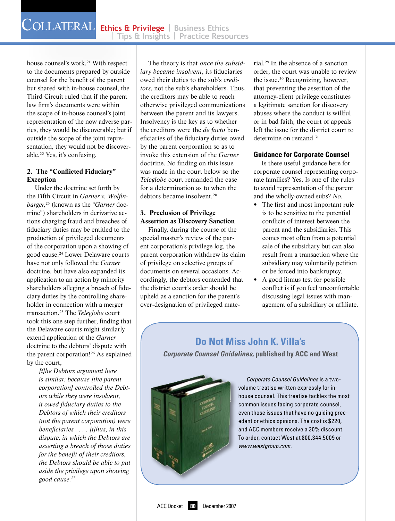house counsel's work.<sup>21</sup> With respect to the documents prepared by outside counsel for the benefit of the parent but shared with in-house counsel, the Third Circuit ruled that if the parent law firm's documents were within the scope of in-house counsel's joint representation of the now adverse parties, they would be discoverable; but if outside the scope of the joint representation, they would not be discoverable.22 Yes, it's confusing.

#### **2. The "Conflicted Fiduciary" Exception**

Under the doctrine set forth by the Fifth Circuit in *Garner v. Wolfinbarger*, 23 (known as the "*Garner* doctrine") shareholders in derivative actions charging fraud and breaches of fiduciary duties may be entitled to the production of privileged documents of the corporation upon a showing of good cause.24 Lower Delaware courts have not only followed the *Garner* doctrine, but have also expanded its application to an action by minority shareholders alleging a breach of fiduciary duties by the controlling shareholder in connection with a merger transaction.25 The *Teleglobe* court took this one step further, finding that the Delaware courts might similarly extend application of the *Garner* doctrine to the debtors' dispute with the parent corporation!26 As explained by the court,

*[t]he Debtors argument here is similar: because [the parent corporation] controlled the Debtors while they were insolvent, it owed fiduciary duties to the Debtors of which their creditors (not the parent corporation) were beneficiaries . . . . [t]hus, in this dispute, in which the Debtors are asserting a breach of those duties for the benefit of their creditors, the Debtors should be able to put aside the privilege upon showing good cause.27*

The theory is that *once the subsidiary became insolvent*, its fiduciaries owed their duties to the sub's *creditors*, not the sub's shareholders. Thus, the creditors may be able to reach otherwise privileged communications between the parent and its lawyers. Insolvency is the key as to whether the creditors were the *de facto* beneficiaries of the fiduciary duties owed by the parent corporation so as to invoke this extension of the *Garner* doctrine. No finding on this issue was made in the court below so the *Teleglobe* court remanded the case for a determination as to when the debtors became insolvent.28

#### **3. Preclusion of Privilege Assertion as Discovery Sanction**

Finally, during the course of the special master's review of the parent corporation's privilege log, the parent corporation withdrew its claim of privilege on selective groups of documents on several occasions. Accordingly, the debtors contended that the district court's order should be upheld as a sanction for the parent's over-designation of privileged material.29 In the absence of a sanction order, the court was unable to review the issue.<sup>30</sup> Recognizing, however, that preventing the assertion of the attorney-client privilege constitutes a legitimate sanction for discovery abuses where the conduct is willful or in bad faith, the court of appeals left the issue for the district court to determine on remand.<sup>31</sup>

#### **Guidance for Corporate Counsel**

Is there useful guidance here for corporate counsel representing corporate families? Yes. Is one of the rules to avoid representation of the parent and the wholly-owned subs? *No*.

- The first and most important rule is to be sensitive to the potential conflicts of interest between the parent and the subsidiaries. This comes most often from a potential sale of the subsidiary but can also result from a transaction where the subsidiary may voluntarily petition or be forced into bankruptcy.
- A good litmus test for possible conflict is if you feel uncomfortable discussing legal issues with management of a subsidiary or affiliate.

### **Do Not Miss John K. Villa's**

*Corporate Counsel Guidelines,* **published by ACC and West**



*Corporate Counsel Guidelines* is a twovolume treatise written expressly for inhouse counsel. This treatise tackles the most common issues facing corporate counsel, even those issues that have no guiding precedent or ethics opinions. The cost is \$220, and ACC members receive a 30% discount. To order, contact West at 800.344.5009 or *www.westgroup.com*.